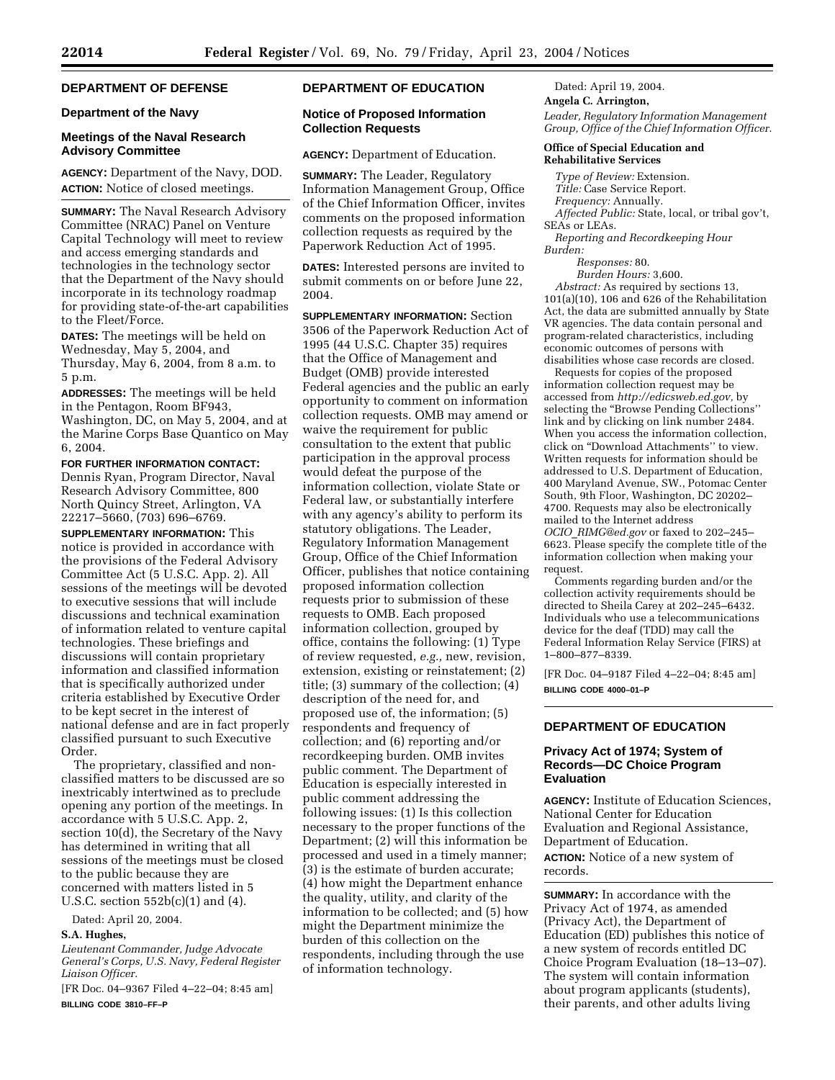# **DEPARTMENT OF DEFENSE**

# **Department of the Navy**

# **Meetings of the Naval Research Advisory Committee**

**AGENCY:** Department of the Navy, DOD. **ACTION:** Notice of closed meetings.

**SUMMARY:** The Naval Research Advisory Committee (NRAC) Panel on Venture Capital Technology will meet to review and access emerging standards and technologies in the technology sector that the Department of the Navy should incorporate in its technology roadmap for providing state-of-the-art capabilities to the Fleet/Force.

**DATES:** The meetings will be held on Wednesday, May 5, 2004, and Thursday, May 6, 2004, from 8 a.m. to 5 p.m.

**ADDRESSES:** The meetings will be held in the Pentagon, Room BF943, Washington, DC, on May 5, 2004, and at the Marine Corps Base Quantico on May 6, 2004.

**FOR FURTHER INFORMATION CONTACT:**  Dennis Ryan, Program Director, Naval Research Advisory Committee, 800 North Quincy Street, Arlington, VA 22217–5660, (703) 696–6769.

**SUPPLEMENTARY INFORMATION:** This notice is provided in accordance with the provisions of the Federal Advisory Committee Act (5 U.S.C. App. 2). All sessions of the meetings will be devoted to executive sessions that will include discussions and technical examination of information related to venture capital technologies. These briefings and discussions will contain proprietary information and classified information that is specifically authorized under criteria established by Executive Order to be kept secret in the interest of national defense and are in fact properly classified pursuant to such Executive Order.

The proprietary, classified and nonclassified matters to be discussed are so inextricably intertwined as to preclude opening any portion of the meetings. In accordance with 5 U.S.C. App. 2, section 10(d), the Secretary of the Navy has determined in writing that all sessions of the meetings must be closed to the public because they are concerned with matters listed in 5 U.S.C. section 552b(c)(1) and (4).

Dated: April 20, 2004.

# **S.A. Hughes,**

*Lieutenant Commander, Judge Advocate General's Corps, U.S. Navy, Federal Register Liaison Officer.* 

[FR Doc. 04–9367 Filed 4–22–04; 8:45 am] **BILLING CODE 3810–FF–P** 

# **DEPARTMENT OF EDUCATION**

# **Notice of Proposed Information Collection Requests**

**AGENCY:** Department of Education.

**SUMMARY:** The Leader, Regulatory Information Management Group, Office of the Chief Information Officer, invites comments on the proposed information collection requests as required by the Paperwork Reduction Act of 1995.

**DATES:** Interested persons are invited to submit comments on or before June 22, 2004.

**SUPPLEMENTARY INFORMATION:** Section 3506 of the Paperwork Reduction Act of 1995 (44 U.S.C. Chapter 35) requires that the Office of Management and Budget (OMB) provide interested Federal agencies and the public an early opportunity to comment on information collection requests. OMB may amend or waive the requirement for public consultation to the extent that public participation in the approval process would defeat the purpose of the information collection, violate State or Federal law, or substantially interfere with any agency's ability to perform its statutory obligations. The Leader, Regulatory Information Management Group, Office of the Chief Information Officer, publishes that notice containing proposed information collection requests prior to submission of these requests to OMB. Each proposed information collection, grouped by office, contains the following: (1) Type of review requested, *e.g.,* new, revision, extension, existing or reinstatement; (2) title; (3) summary of the collection; (4) description of the need for, and proposed use of, the information; (5) respondents and frequency of collection; and (6) reporting and/or recordkeeping burden. OMB invites public comment. The Department of Education is especially interested in public comment addressing the following issues: (1) Is this collection necessary to the proper functions of the Department; (2) will this information be processed and used in a timely manner; (3) is the estimate of burden accurate; (4) how might the Department enhance the quality, utility, and clarity of the information to be collected; and (5) how might the Department minimize the burden of this collection on the respondents, including through the use of information technology.

Dated: April 19, 2004.

**Angela C. Arrington,** 

*Leader, Regulatory Information Management Group, Office of the Chief Information Officer.* 

# **Office of Special Education and Rehabilitative Services**

*Type of Review:* Extension.

*Title:* Case Service Report.

*Frequency:* Annually.

*Affected Public:* State, local, or tribal gov't, SEAs or LEAs.

*Reporting and Recordkeeping Hour Burden:* 

*Responses:* 80.

*Burden Hours:* 3,600. *Abstract:* As required by sections 13, 101(a)(10), 106 and 626 of the Rehabilitation Act, the data are submitted annually by State VR agencies. The data contain personal and program-related characteristics, including economic outcomes of persons with disabilities whose case records are closed.

Requests for copies of the proposed information collection request may be accessed from *http://edicsweb.ed.gov,* by selecting the ''Browse Pending Collections'' link and by clicking on link number 2484. When you access the information collection, click on ''Download Attachments'' to view. Written requests for information should be addressed to U.S. Department of Education, 400 Maryland Avenue, SW., Potomac Center South, 9th Floor, Washington, DC 20202– 4700. Requests may also be electronically mailed to the Internet address *OCIO*\_*RIMG@ed.gov* or faxed to 202–245– 6623. Please specify the complete title of the information collection when making your request.

Comments regarding burden and/or the collection activity requirements should be directed to Sheila Carey at 202–245–6432. Individuals who use a telecommunications device for the deaf (TDD) may call the Federal Information Relay Service (FIRS) at 1–800–877–8339.

[FR Doc. 04–9187 Filed 4–22–04; 8:45 am] **BILLING CODE 4000–01–P** 

# **DEPARTMENT OF EDUCATION**

# **Privacy Act of 1974; System of Records—DC Choice Program Evaluation**

**AGENCY:** Institute of Education Sciences, National Center for Education Evaluation and Regional Assistance, Department of Education. **ACTION:** Notice of a new system of records.

**SUMMARY:** In accordance with the Privacy Act of 1974, as amended (Privacy Act), the Department of Education (ED) publishes this notice of a new system of records entitled DC Choice Program Evaluation (18–13–07). The system will contain information about program applicants (students), their parents, and other adults living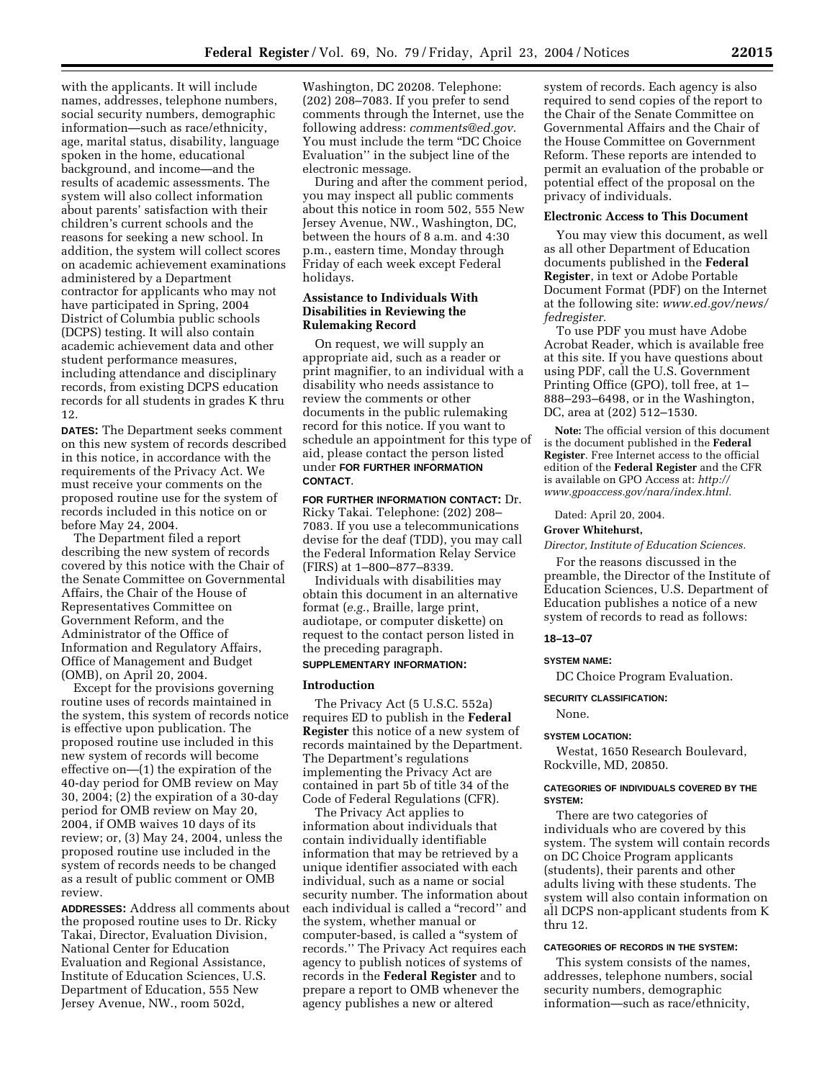with the applicants. It will include names, addresses, telephone numbers, social security numbers, demographic information—such as race/ethnicity, age, marital status, disability, language spoken in the home, educational background, and income—and the results of academic assessments. The system will also collect information about parents' satisfaction with their children's current schools and the reasons for seeking a new school. In addition, the system will collect scores on academic achievement examinations administered by a Department contractor for applicants who may not have participated in Spring, 2004 District of Columbia public schools (DCPS) testing. It will also contain academic achievement data and other student performance measures, including attendance and disciplinary records, from existing DCPS education records for all students in grades K thru 12.

**DATES:** The Department seeks comment on this new system of records described in this notice, in accordance with the requirements of the Privacy Act. We must receive your comments on the proposed routine use for the system of records included in this notice on or before May 24, 2004.

The Department filed a report describing the new system of records covered by this notice with the Chair of the Senate Committee on Governmental Affairs, the Chair of the House of Representatives Committee on Government Reform, and the Administrator of the Office of Information and Regulatory Affairs, Office of Management and Budget (OMB), on April 20, 2004.

Except for the provisions governing routine uses of records maintained in the system, this system of records notice is effective upon publication. The proposed routine use included in this new system of records will become effective on—(1) the expiration of the 40-day period for OMB review on May 30, 2004; (2) the expiration of a 30-day period for OMB review on May 20, 2004, if OMB waives 10 days of its review; or, (3) May 24, 2004, unless the proposed routine use included in the system of records needs to be changed as a result of public comment or OMB review.

**ADDRESSES:** Address all comments about the proposed routine uses to Dr. Ricky Takai, Director, Evaluation Division, National Center for Education Evaluation and Regional Assistance, Institute of Education Sciences, U.S. Department of Education, 555 New Jersey Avenue, NW., room 502d,

Washington, DC 20208. Telephone: (202) 208–7083. If you prefer to send comments through the Internet, use the following address: *comments@ed.gov.*  You must include the term ''DC Choice Evaluation'' in the subject line of the electronic message.

During and after the comment period, you may inspect all public comments about this notice in room 502, 555 New Jersey Avenue, NW., Washington, DC, between the hours of 8 a.m. and 4:30 p.m., eastern time, Monday through Friday of each week except Federal holidays.

# **Assistance to Individuals With Disabilities in Reviewing the Rulemaking Record**

On request, we will supply an appropriate aid, such as a reader or print magnifier, to an individual with a disability who needs assistance to review the comments or other documents in the public rulemaking record for this notice. If you want to schedule an appointment for this type of aid, please contact the person listed under **FOR FURTHER INFORMATION CONTACT**.

**FOR FURTHER INFORMATION CONTACT:** Dr. Ricky Takai. Telephone: (202) 208– 7083. If you use a telecommunications devise for the deaf (TDD), you may call the Federal Information Relay Service (FIRS) at 1–800–877–8339.

Individuals with disabilities may obtain this document in an alternative format (*e.g.*, Braille, large print, audiotape, or computer diskette) on request to the contact person listed in the preceding paragraph.

# **SUPPLEMENTARY INFORMATION:**

#### **Introduction**

The Privacy Act (5 U.S.C. 552a) requires ED to publish in the **Federal Register** this notice of a new system of records maintained by the Department. The Department's regulations implementing the Privacy Act are contained in part 5b of title 34 of the Code of Federal Regulations (CFR).

The Privacy Act applies to information about individuals that contain individually identifiable information that may be retrieved by a unique identifier associated with each individual, such as a name or social security number. The information about each individual is called a "record" and the system, whether manual or computer-based, is called a ''system of records.'' The Privacy Act requires each agency to publish notices of systems of records in the **Federal Register** and to prepare a report to OMB whenever the agency publishes a new or altered

system of records. Each agency is also required to send copies of the report to the Chair of the Senate Committee on Governmental Affairs and the Chair of the House Committee on Government Reform. These reports are intended to permit an evaluation of the probable or potential effect of the proposal on the privacy of individuals.

# **Electronic Access to This Document**

You may view this document, as well as all other Department of Education documents published in the **Federal Register**, in text or Adobe Portable Document Format (PDF) on the Internet at the following site: *www.ed.gov/news/ fedregister.* 

To use PDF you must have Adobe Acrobat Reader, which is available free at this site. If you have questions about using PDF, call the U.S. Government Printing Office (GPO), toll free, at 1– 888–293–6498, or in the Washington, DC, area at (202) 512–1530.

**Note:** The official version of this document is the document published in the **Federal Register**. Free Internet access to the official edition of the **Federal Register** and the CFR is available on GPO Access at: *http:// www.gpoaccess.gov/nara/index.html.* 

Dated: April 20, 2004.

### **Grover Whitehurst,**

# *Director, Institute of Education Sciences.*

For the reasons discussed in the preamble, the Director of the Institute of Education Sciences, U.S. Department of Education publishes a notice of a new system of records to read as follows:

#### **18–13–07**

#### **SYSTEM NAME:**

DC Choice Program Evaluation.

**SECURITY CLASSIFICATION:** 

#### None.

#### **SYSTEM LOCATION:**

Westat, 1650 Research Boulevard, Rockville, MD, 20850.

# **CATEGORIES OF INDIVIDUALS COVERED BY THE SYSTEM:**

There are two categories of individuals who are covered by this system. The system will contain records on DC Choice Program applicants (students), their parents and other adults living with these students. The system will also contain information on all DCPS non-applicant students from K thru 12.

# **CATEGORIES OF RECORDS IN THE SYSTEM:**

This system consists of the names, addresses, telephone numbers, social security numbers, demographic information—such as race/ethnicity,